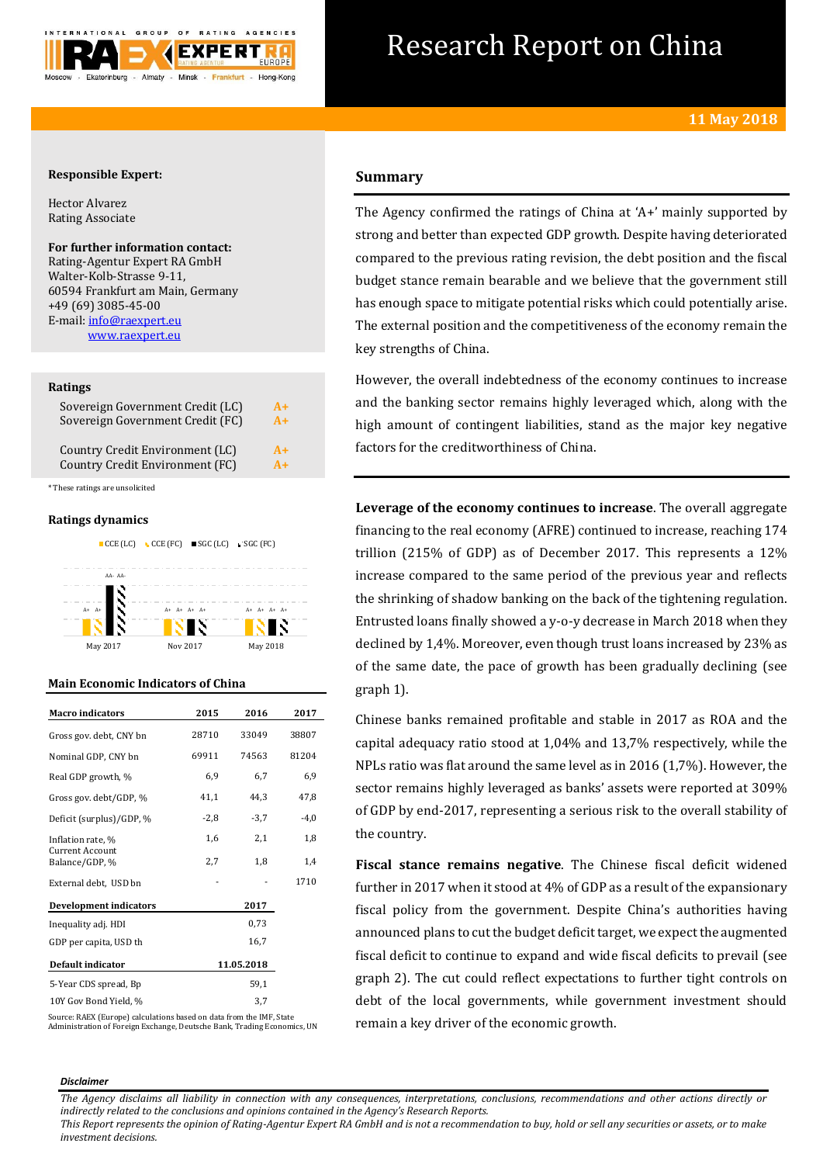

# Research Report on China

## **Responsible Expert:**

Hector Alvarez Rating Associate

**For further information contact:** Rating-Agentur Expert RA GmbH Walter-Kolb-Strasse 9-11, 60594 Frankfurt am Main, Germany +49 (69) 3085-45-00 E-mail[: info@raexpert.eu](mailto:info@raexpert.eu)

[www.raexpert.eu](http://raexpert.eu/)

## **Ratings**

| Sovereign Government Credit (LC) | $A+$ |
|----------------------------------|------|
| Sovereign Government Credit (FC) | $A+$ |
| Country Credit Environment (LC)  | $A+$ |
| Country Credit Environment (FC)  | $A+$ |

\* These ratings are unsolicited

## **Ratings dynamics**



## **Main Economic Indicators of China**

| <b>Macro</b> indicators           | 2015       | 2016   | 2017   |
|-----------------------------------|------------|--------|--------|
| Gross gov. debt, CNY bn           | 28710      | 33049  | 38807  |
| Nominal GDP, CNY bn               | 69911      | 74563  | 81204  |
| Real GDP growth, %                | 6.9        | 6,7    | 6,9    |
| Gross gov. debt/GDP, %            | 41,1       | 44.3   | 47,8   |
| Deficit (surplus)/GDP, %          | $-2,8$     | $-3,7$ | $-4,0$ |
| Inflation rate, %                 | 1,6        | 2,1    | 1,8    |
| Current Account<br>Balance/GDP, % | 2,7        | 1,8    | 1,4    |
| External debt, USD bn             |            |        | 1710   |
| <b>Development indicators</b>     |            | 2017   |        |
| Inequality adj. HDI               |            | 0,73   |        |
| GDP per capita, USD th            |            | 16,7   |        |
| Default indicator                 | 11.05.2018 |        |        |
| 5-Year CDS spread, Bp             |            | 59,1   |        |
| 10Y Gov Bond Yield, %             |            | 3,7    |        |

Source: RAEX (Europe) calculations based on data from the IMF, State Administration of Foreign Exchange, Deutsche Bank, Trading Economics, UN

# **Summary**

The Agency confirmed the ratings of China at 'A+' mainly supported by strong and better than expected GDP growth. Despite having deteriorated compared to the previous rating revision, the debt position and the fiscal budget stance remain bearable and we believe that the government still has enough space to mitigate potential risks which could potentially arise. The external position and the competitiveness of the economy remain the key strengths of China.

However, the overall indebtedness of the economy continues to increase and the banking sector remains highly leveraged which, along with the high amount of contingent liabilities, stand as the major key negative factors for the creditworthiness of China.

**Leverage of the economy continues to increase**. The overall aggregate financing to the real economy (AFRE) continued to increase, reaching 174 trillion (215% of GDP) as of December 2017. This represents a 12% increase compared to the same period of the previous year and reflects the shrinking of shadow banking on the back of the tightening regulation. Entrusted loans finally showed a y-o-y decrease in March 2018 when they declined by 1,4%. Moreover, even though trust loans increased by 23% as of the same date, the pace of growth has been gradually declining (see graph 1).

Chinese banks remained profitable and stable in 2017 as ROA and the capital adequacy ratio stood at 1,04% and 13,7% respectively, while the NPLs ratio was flat around the same level as in 2016 (1,7%). However, the sector remains highly leveraged as banks' assets were reported at 309% of GDP by end-2017, representing a serious risk to the overall stability of the country.

**Fiscal stance remains negative**. The Chinese fiscal deficit widened further in 2017 when it stood at 4% of GDP as a result of the expansionary fiscal policy from the government. Despite China's authorities having announced plans to cut the budget deficit target, we expect the augmented fiscal deficit to continue to expand and wide fiscal deficits to prevail (see graph 2). The cut could reflect expectations to further tight controls on debt of the local governments, while government investment should remain a key driver of the economic growth.

#### *Disclaimer*

*The Agency disclaims all liability in connection with any consequences, interpretations, conclusions, recommendations and other actions directly or indirectly related to the conclusions and opinions contained in the Agency's Research Reports.*

*This Report represents the opinion of Rating-Agentur Expert RA GmbH and is not a recommendation to buy, hold or sell any securities or assets, or to make investment decisions.*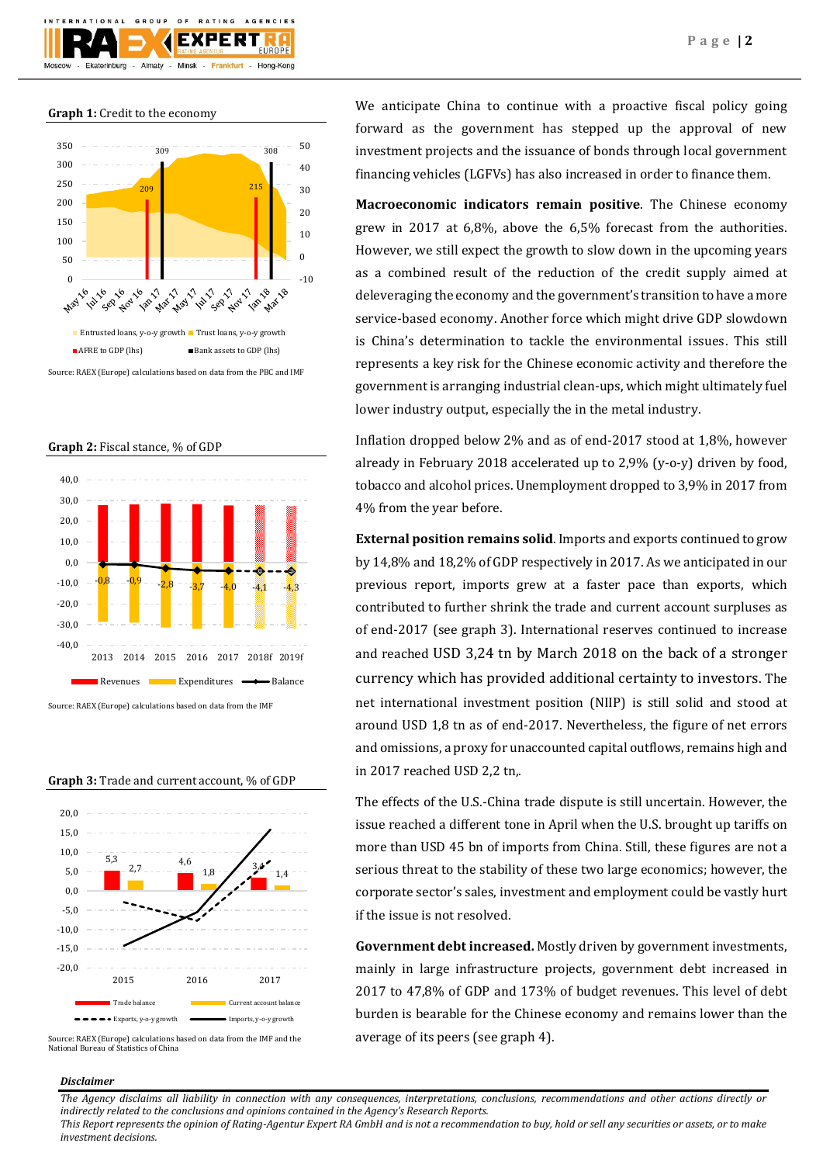

**Graph 1:** Credit to the economy



Source: RAEX (Europe) calculations based on data from the PBC and IMF

**Graph 2:** Fiscal stance, % of GDP



Source: RAEX (Europe) calculations based on data from the IMF

**Graph 3:** Trade and current account, % of GDP



Source: RAEX (Europe) calculations based on data from the IMF and the National Bureau of Statistics of China

We anticipate China to continue with a proactive fiscal policy going forward as the government has stepped up the approval of new investment projects and the issuance of bonds through local government financing vehicles (LGFVs) has also increased in order to finance them.

**Macroeconomic indicators remain positive**. The Chinese economy grew in 2017 at 6,8%, above the 6,5% forecast from the authorities. However, we still expect the growth to slow down in the upcoming years as a combined result of the reduction of the credit supply aimed at deleveraging the economy and the government's transition to have a more service-based economy. Another force which might drive GDP slowdown is China's determination to tackle the environmental issues. This still represents a key risk for the Chinese economic activity and therefore the government is arranging industrial clean-ups, which might ultimately fuel lower industry output, especially the in the metal industry.

Inflation dropped below 2% and as of end-2017 stood at 1,8%, however already in February 2018 accelerated up to 2,9% (y-o-y) driven by food, tobacco and alcohol prices. Unemployment dropped to 3,9% in 2017 from 4% from the year before.

**External position remains solid**. Imports and exports continued to grow by 14,8% and 18,2% of GDP respectively in 2017. As we anticipated in our previous report, imports grew at a faster pace than exports, which contributed to further shrink the trade and current account surpluses as of end-2017 (see graph 3). International reserves continued to increase and reached USD 3,24 tn by March 2018 on the back of a stronger currency which has provided additional certainty to investors. The net international investment position (NIIP) is still solid and stood at around USD 1,8 tn as of end-2017. Nevertheless, the figure of net errors and omissions, a proxy for unaccounted capital outflows, remains high and in 2017 reached USD 2,2 tn,.

The effects of the U.S.-China trade dispute is still uncertain. However, the issue reached a different tone in April when the U.S. brought up tariffs on more than USD 45 bn of imports from China. Still, these figures are not a serious threat to the stability of these two large economics; however, the corporate sector's sales, investment and employment could be vastly hurt if the issue is not resolved.

**Government debt increased.** Mostly driven by government investments, mainly in large infrastructure projects, government debt increased in 2017 to 47,8% of GDP and 173% of budget revenues. This level of debt burden is bearable for the Chinese economy and remains lower than the average of its peers (see graph 4).

## *Disclaimer*

*The Agency disclaims all liability in connection with any consequences, interpretations, conclusions, recommendations and other actions directly or indirectly related to the conclusions and opinions contained in the Agency's Research Reports.*

*This Report represents the opinion of Rating-Agentur Expert RA GmbH and is not a recommendation to buy, hold or sell any securities or assets, or to make investment decisions.*